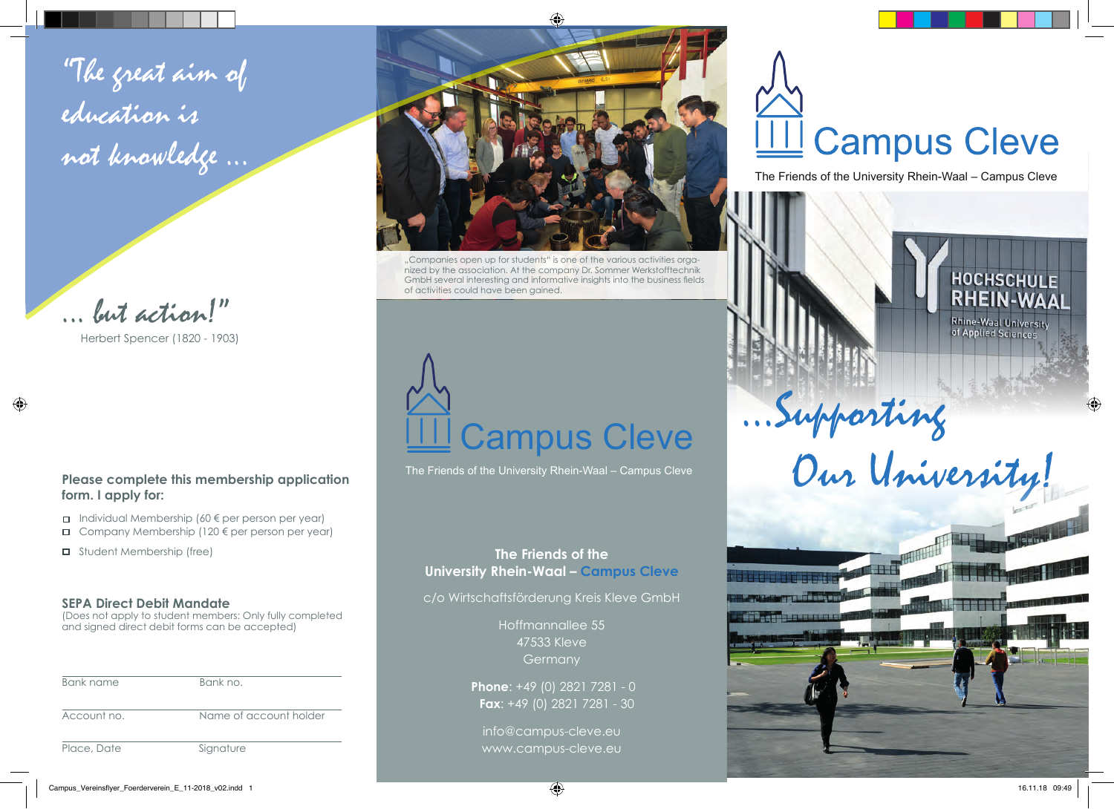"The great aim of education is not knowledge ...



Herbert Spencer (1820 - 1903)

## **Please complete this membership application form. I apply for:**

- $\Box$  Individual Membership (60  $\epsilon$  per person per year)
- $\Box$  Company Membership (120  $\notin$  per person per year)
- □ Student Membership (free)

# **SEPA Direct Debit Mandate**

(Does not apply to student members: Only fully completed and signed direct debit forms can be accepted)

| Bank name   | Bank no.               |
|-------------|------------------------|
| Account no. | Name of account holder |
| Place, Date | Signature              |



"Companies open up for students" is one of the various activities organized by the association. At the company Dr. Sommer Werkstofftechnik GmbH several interesting and informative insights into the business fields of activities could have been gained.



The Friends of the University Rhein-Waal – Campus Cleve

# **The Friends of the University Rhein-Waal – Campus Cleve**

c/o Wirtschaftsförderung Kreis Kleve GmbH

Hoffmannallee 55 47533 Kleve **Germany** 

**Phone**: +49 (0) 2821 7281 - 0 **Fax**: +49 (0) 2821 7281 - 30

info@campus-cleve.eu www.campus-cleve.eu

# **Campus Cleve**

The Friends of the University Rhein-Waal – Campus Cleve

...Supporting

Our University!

**THE** 



**Rhine-Waal University**<br>of Applied Sciences